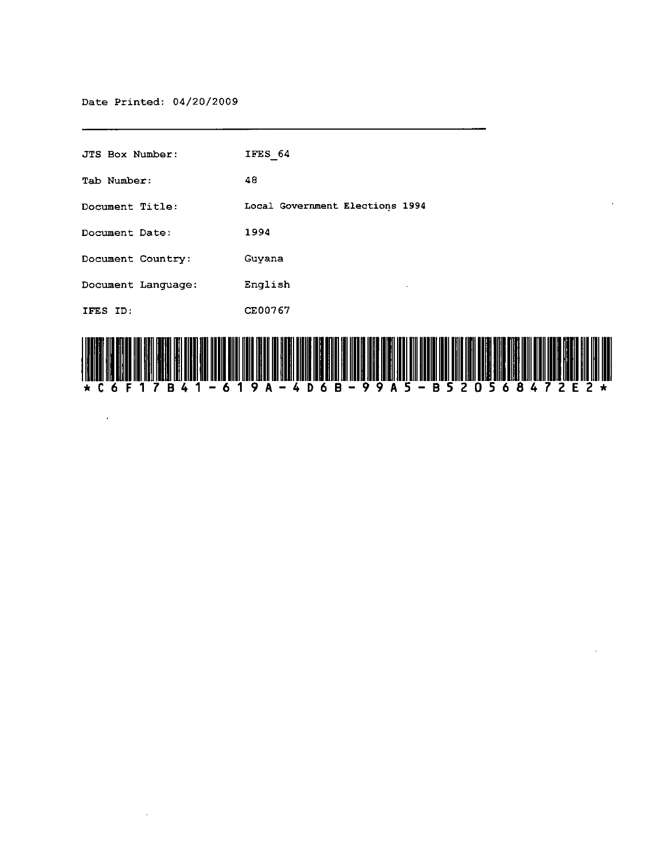Date Printed: 04/20/2009

 $\sim 10^7$ 

 $\mathcal{A}^{\mathcal{A}}$ 

| <b>JTS Box Number:</b> | IFES 64                                                                                                               |
|------------------------|-----------------------------------------------------------------------------------------------------------------------|
| Tab Number:            | 48                                                                                                                    |
| Document Title:        | Local Government Elections 1994                                                                                       |
| Document Date:         | 1994                                                                                                                  |
| Document Country:      | Guyana                                                                                                                |
| Document Language:     | English                                                                                                               |
| IFES ID:               | CE00767                                                                                                               |
|                        | <u>TER ET MEDITEN DER BESITET ETT TELLET DEL MEDITEN BEGINDERE ETT SIDER BEGING DER GRUPPEN HELLE DER UNDER SIG D</u> |



 $\ddot{\phantom{a}}$ 

 $\ddot{\phantom{0}}$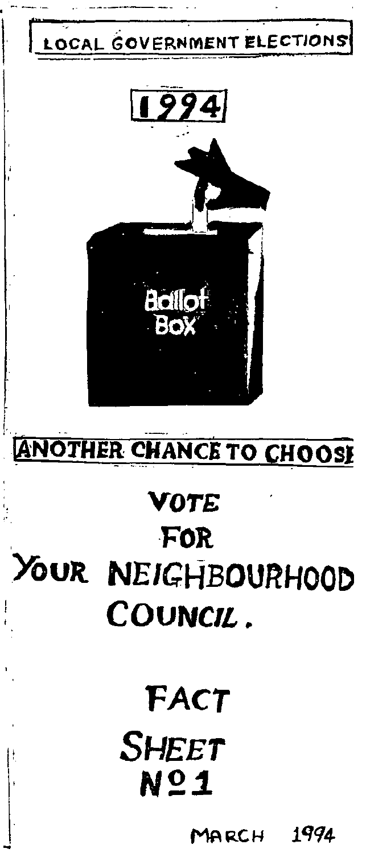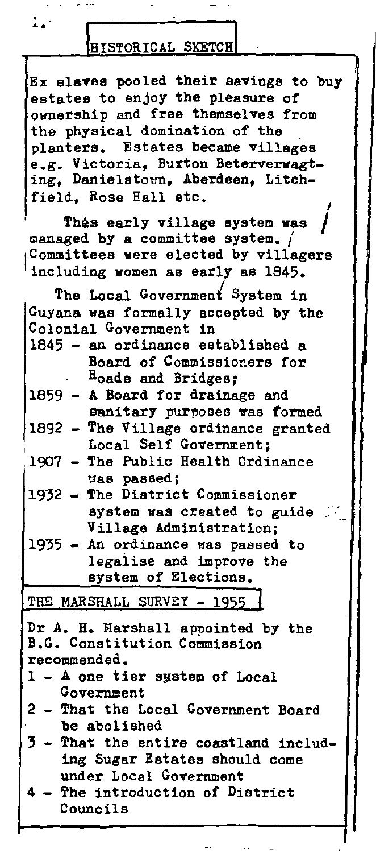| . .<br>I | × |  |
|----------|---|--|
|          |   |  |

## **HISTORICAL SKETCH**

Ex slaves pooled their savings to buy estates to enjoy the plessure of ownership and free themselves from the physical domination of the planters. Estates became villages e.g. Victoria. Buxton Beterverwagting. Danielstown, Aberdeen, Litchfield, Rose Hall etc. I

Thas early village system was managed by a committee system.  $/$ Committees were elected by villagers including women as early as 1845.

The Local Government System in GuYana was formally accepted by the Colonial Government in 1845 - an ordinance established a 1859 A Board for drainage and Board of Commissioners for Roads and Bridges; sanitary purposes was formed 1892 - The Village ordinance granted Local Self Government;<br>1907 - The Public Health Ordi - The Public Health Ordinance tlas passed; 1932 - The District Commissioner system was created to guide Village Administration;  $1935$  - An ordinance was passed to 1egaiise and improve the system of Elections. THE MARSHALL SURVEY - 1955 Dr A. H. Marshall appointed by the B.G. Constitution Commission recommended. 1 - A one tier system of Local Government 2 - That the Local Government Board

- be abolished
- 3 That the entirs coast land including Sugar Estates should come under Local Government
- 4 Yhe introduction of District Councils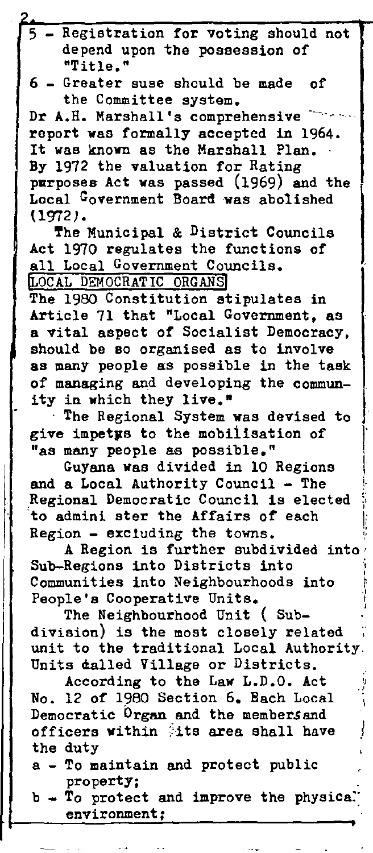- Registration for voting should not depend upon the possession of "Title. "

6 - Greater suse should be made of the Committee system.

Dr A.H. Marshall's comprehensive report was formally accepted in 1964. It was known as the Marshall Plan. By 1972 the valuation for Rating purposes Act was passed (1969) and the Local Government Board was abolished (1972).

The Municipal & District Councils Act 1970 regulates the functions of all Local Government Councils. LOCAL DEMOCRATIC ORGANS!

The 1980 Constitution stipulates in Article 71 that "Local Government, as a vital aspect of Socialist Democracy, should be so organised as to involve as many people as possible in the task of managing and developing the community in which they live."

. The Regional System was devised to give impetys to the mobilisation of "as many people as possible."

,. i I

'I ...

GuYana Was divided in 10 Regions and a Local Authority Council - The Regional Democratic Council is elected to admini ster the Affairs of each  $Region - excluding the towns.$ 

 $\mathbf{I}$ 

 $\parallel$ 

A Region is further subdivided into Sub-Regions into Districts into Communities into Neighbourhoods into ; People's Cooperative Units. , ~ , 1

The Neighbourhood Unit ( Subdivision) is the most closely related unit to the traditional Local Authority. Units dalled Village or Districts. ا<br>ا

According to the Law L.D.O. Act No. 12 of 1980 Section 6. Bach Local Democratic Organ and the members and officers within its area shall have the duty

a - To maintain and protect public property;

 $b - T_0$  protect and improve the physica. **environment;**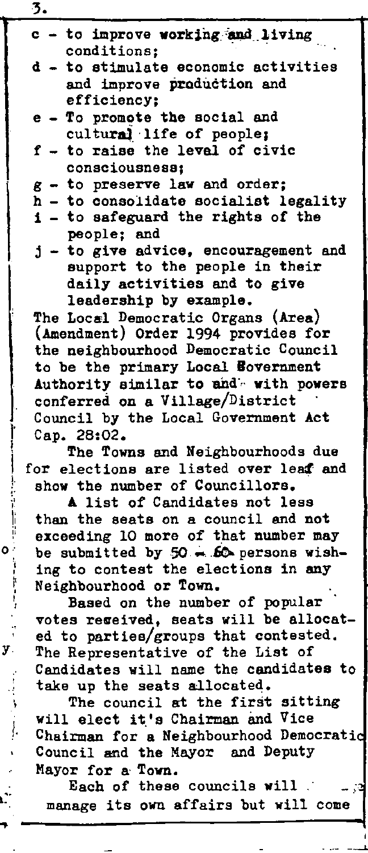|                                 | 3.                                     |  |  |
|---------------------------------|----------------------------------------|--|--|
|                                 | c - to improve working and living      |  |  |
|                                 | conditions:                            |  |  |
|                                 | d - to stimulate economic activities   |  |  |
|                                 | and improve production and             |  |  |
|                                 | efficiency:                            |  |  |
|                                 | e - To promote the social and          |  |  |
|                                 | cultural life of people;               |  |  |
|                                 | f - to raise the leval of civic        |  |  |
|                                 | consciousness;                         |  |  |
|                                 | $g$ - to preserve law and order;       |  |  |
|                                 | h - to consolidate socialist legality  |  |  |
|                                 | i - to safeguard the rights of the     |  |  |
|                                 | people; and                            |  |  |
|                                 | j - to give advice, encouragement and  |  |  |
|                                 | support to the people in their         |  |  |
|                                 | daily activities and to give           |  |  |
|                                 | leadership by example.                 |  |  |
|                                 | The Local Democratic Organs (Area)     |  |  |
|                                 | (Amendment) Order 1994 provides for    |  |  |
|                                 | the neighbourhood Democratic Council   |  |  |
|                                 | to be the primary Local Bovernment     |  |  |
|                                 | Authority similar to and with powers   |  |  |
| conferred on a Village/District |                                        |  |  |
|                                 | Council by the Local Government Act    |  |  |
|                                 | Cap. 28:02.                            |  |  |
|                                 | The Towns and Neighbourhoods due       |  |  |
|                                 | for elections are listed over leaf and |  |  |
|                                 | show the number of Councillors.        |  |  |
|                                 | A list of Candidates not less          |  |  |
|                                 | than the seats on a council and not    |  |  |

: exceeding 10 more of that number may<br> $\frac{1}{2}$  be submitted by 50 = 60 persons wish. be submitted by  $50 - 60$  persons wishing to contest the elections in any Neighbourhood or Town.

Based on the number of popular votes regeived, seats will be allocated to parties/groups that contested. The Representative of the List of Candidates will name the candidates to take up the seats allocated.

y.

/.

..

The council at the first sitting will elect it's Chairman and Vice Chairman for a Neighbourhood Democratic Council and the Mayor and Deputy Mayor for a Town.

Each of these councils will ... manage its own affairs but will come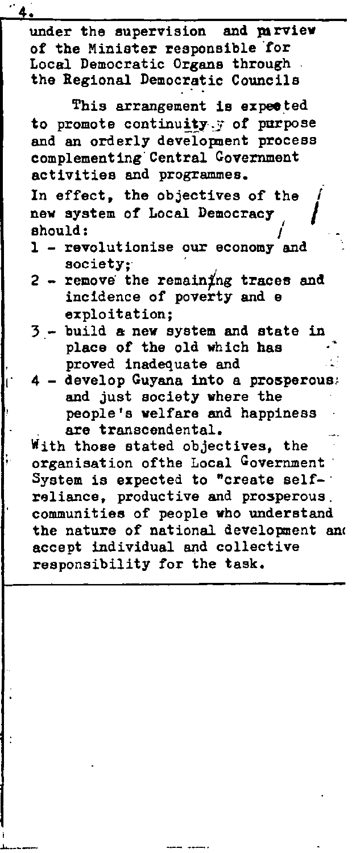under the supervision and parview of the Minister responsible 'for Local Democratic Organs through the Regional Democratic Councils

This arrangement is expected to promote continuity, y of purpose and an orderly development process complementing'Central Government activities and programmes.

In effect, the objectives of the new system of Local Democracy should:

- 1 revolutionise our economy and society:
- $2$  remove the remaining traces and incidence of poverty and e exploitation;
- build a new system and state in place of the old which has proved inadequate and
- develop Guyana into a prosperous. and just society where the people's welfare and happiness are transcendental.

With those stated objectives, the organisation of the Local Government System is expected to "create self-' reliance, productive and prosperous, communities of people who understand the nature of national development and accept individusl and collective responsibility for the task.

-'---\_.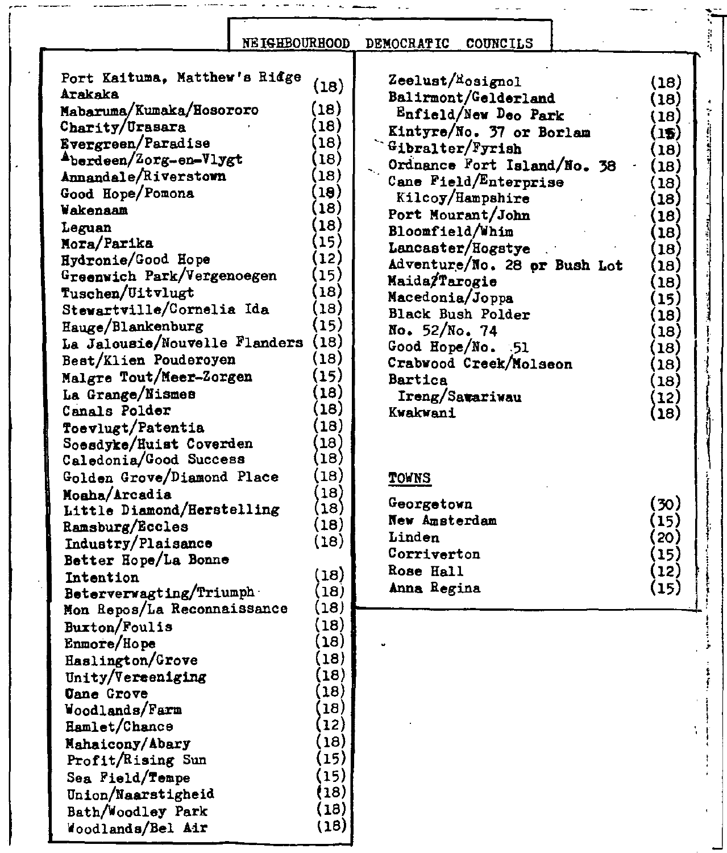## REIGHBOURHOOD DEMOCRATIC COUNCILS

 $\omega_{\rm{c}}$  ,  $\omega_{\rm{c}}$ 

 $\sim$   $\sim$ 

:;-

I ! ,  $\cdot$  $, \, \cdot$ 

Į

 $\frac{1}{2} \left( \frac{1}{2} \right)^2 + \frac{1}{2} \left( \frac{1}{2} \right)^2 + \frac{1}{2} \left( \frac{1}{2} \right)^2$ 

I f  $\begin{bmatrix} 1 \\ 1 \end{bmatrix}$ 

T.

 $\ddot{\ddot{\cdot}}$ 

 $\frac{1}{2}$ ļ j

(18) (18) (18) .  $(15)$  |  $\frac{1}{3}$ (18) (18) (18) (18) (18) (18) (18) (18) (18) (15) (18) (18) (18) (18) (18) (12) (18)

| Port Kaituma, Matthew's Ridge | (18)              | Zeelust/ <sup>R</sup> osignol | (18)               |
|-------------------------------|-------------------|-------------------------------|--------------------|
| Arakaka                       |                   | Balirmont/Gelderland          | (18)               |
| Mabaruma/Kumaka/Hosororo      | (18)              | Enfield/New Deo Park          | (18)               |
| Charity/Urasara               | (18)              | Kintyre/No. 37 or Borlam      | (15)               |
| Evergreen/Paradise            | $\left(18\right)$ | Gibralter/Fyrish              | (18)               |
| Aberdeen/Zorg-en-Vlygt        | (18)              | Ordnance Fort Island/No. 38   | (18)               |
| Annandale/Riverstown          | (18)              | Cane Field/Enterprise         | 18)                |
| Good Hope/Pomona              | $\mathbf{19}$     | Kilcoy/Hampshire              | [18]               |
| Wakenaam                      | $\mathbf{(18)}$   | Port Mourant/John             | $\left(18\right)$  |
| Leguan                        | $\left(18\right)$ | Bloomfield/Whim               | 18)                |
| Mora/Parika                   | (15)              | Lancaster/Hogstye             | 18)                |
| Hydronie/Good Hope            | (12)              | Adventure/No. 28 or Bush Lot  | (18                |
| Greenwich Park/Vergenoegen    | (15)              | Maida/Tarogie                 | $\left(18\right)$  |
| Tuschen/Uitvlugt              | (18               | Macedonia/Joppa               | $\mathbf{15}$      |
| Stewartville/Cornelia Ida     | $\left(18\right)$ | <b>Black Bush Polder</b>      | $\mathbf{18)}$     |
| Hauge/Blankenburg             | (15)              | No. 52/No. 74                 | $\left(18\right)$  |
| La Jalousie/Nouvelle Flanders | (18)              | Good Hope/No. 51              | (18)               |
| Best/Klien Pouderoyen         | (18)              | Crabwood Creek/Molseon        | (18)               |
| Malgre Tout/Meer-Zorgen       | (15)              | <b>Bartica</b>                | (18)               |
| La Grange/Nismes              | (18)              | Ireng/Satariwau               | (12)               |
| Canals Polder                 | $\left(18\right)$ | Kwakwani                      | (18)               |
| Toevlugt/Patentia             | (18)              |                               |                    |
| Soesdyke/Huist Coverden       | $\left(18\right)$ |                               |                    |
| Caledonia/Good Success        | (18)              |                               |                    |
| Golden Grove/Diamond Place    | (18)              | <b>TOWNS</b>                  |                    |
| Moaha/Arcadia                 | 18)               |                               |                    |
| Little Diamond/Herstelling    | (18)              | Georgetown                    | (30)               |
| Ramsburg/Eccles               | (18)              | New Amsterdam                 | (15)               |
| Industry/Plaisance            | (18)              | Linden                        | 20)                |
| Better Hope/La Bonne          |                   | Corriverton                   | $\left( 15\right)$ |
| Intention                     | (18)              | Rose Hall                     | (12)               |
| Beterverwagting/Triumph       | 18)               | Anna Regina                   | (15)               |
| Mon Repos/La Reconnaissance   | 18)               |                               |                    |
| Buxton/Foulis                 | 18)               |                               |                    |
| Enmore/Hope                   | 18)               |                               |                    |
| Haslington/Grove              | 18)               |                               |                    |
| Unity/Vereeniging             | $ 18\rangle$      |                               |                    |
| <b>Uane Grove</b>             | 18)               |                               |                    |
| Woodlands/Farm                | 18)               |                               |                    |
| Hamlet/Chance                 | $ 12\rangle$      |                               |                    |
| Mahaicony/Abary               | $ 18\rangle$      |                               |                    |
| Profit/Rising Sun             | 15)               |                               |                    |
| Sea Field/Tempe               | $\left(15\right)$ |                               |                    |
| Union/Naarstigheid            | (18)              |                               |                    |
| Bath/Woodley Park             | (18)              |                               |                    |
| Woodlands/Bel Air             | (18)              |                               |                    |
|                               |                   |                               |                    |